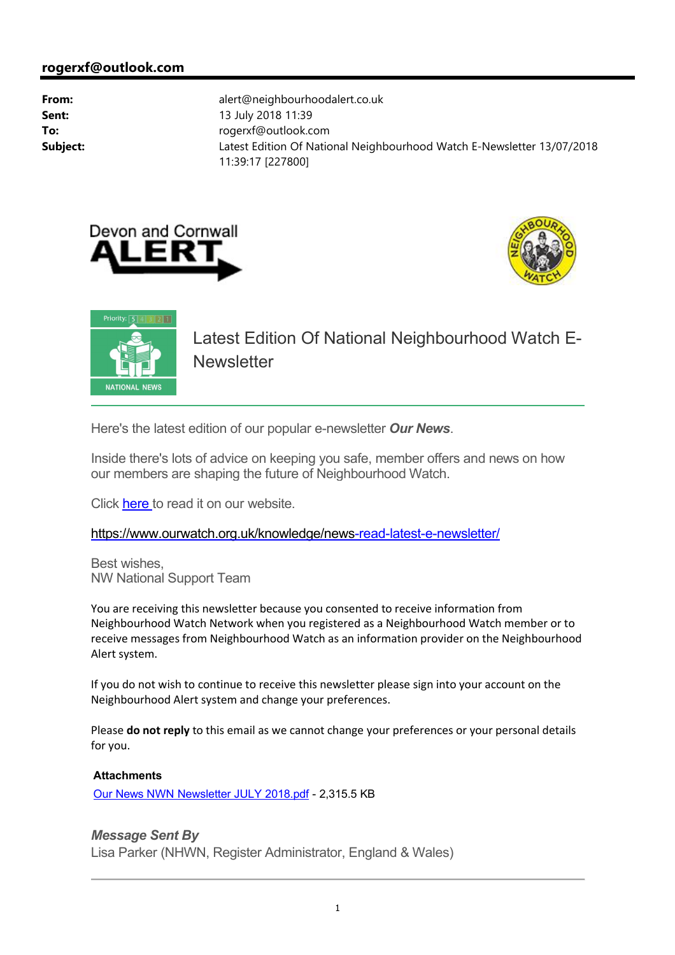



Priority:  $\boxed{5}$  4 3 2 1 Latest Edition Of National Neighbourhood Watch E-**Newsletter NATIONAL NEWS** 

Here's the latest edition of our popular e-newsletter *Our News*.

Inside there's lots of advice on keeping you safe, member offers and news on how our members are shaping the future of Neighbourhood Watch.

Click here to read it on our website.

[https://www.ourwatch.org.uk/knowledge/news-re](https://www.ourwatch.org.uk/knowledge/news)ad-latest-e-newsletter/

Best wishes, NW National Support Team

You are receiving this newsletter because you consented to receive information from Neighbourhood Watch Network when you registered as a Neighbourhood Watch member or to receive messages from Neighbourhood Watch as an information provider on the Neighbourhood Alert system.

If you do not wish to continue to receive this newsletter please sign into your account on the Neighbourhood Alert system and change your preferences.

Please do not reply to this email as we cannot change your preferences or your personal details for you.

## **Attachments**

Our News NWN Newsletter JULY 2018.pdf - 2,315.5 KB

## *Message Sent By*

Lisa Parker (NHWN, Register Administrator, England & Wales)